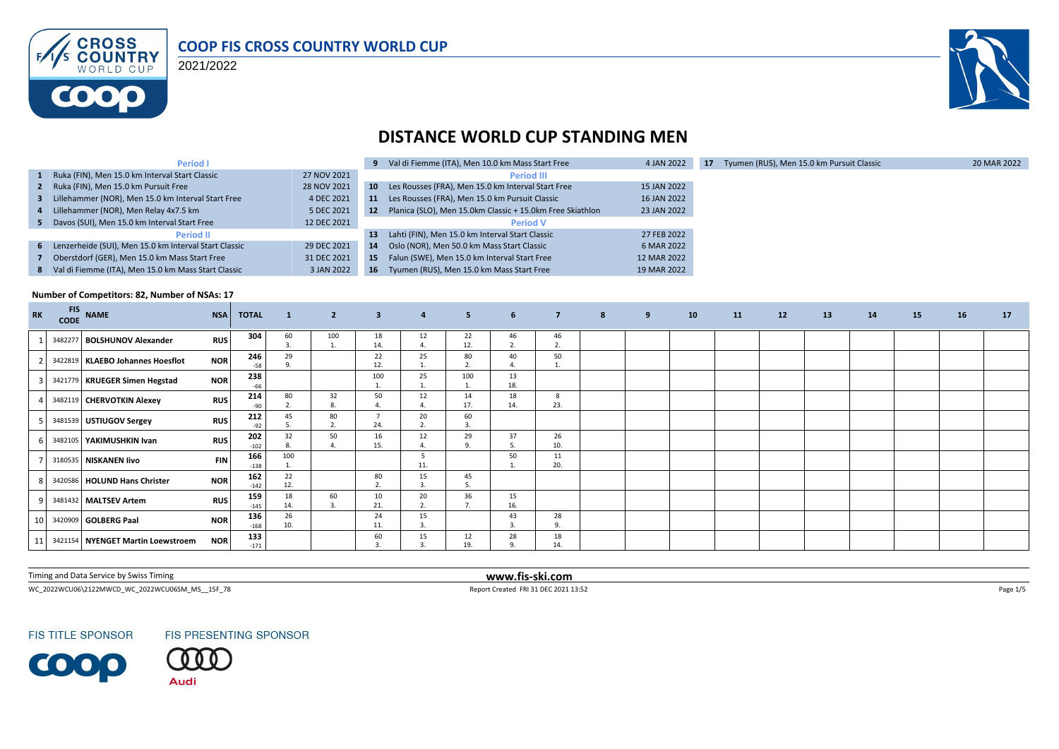

2021/2022



## **DISTANCE WORLD CUP STANDING MEN**

| <b>Period I</b>                                         |             |         | 9 Val di Fiemme (ITA), Men 10.0 km Mass Start Free        | 4 JAN 2022  | 17 | Tyumen (RUS), Men 15.0 km Pursuit Classic | 20 MAR 2022 |
|---------------------------------------------------------|-------------|---------|-----------------------------------------------------------|-------------|----|-------------------------------------------|-------------|
| 1 Ruka (FIN), Men 15.0 km Interval Start Classic        | 27 NOV 2021 |         | <b>Period III</b>                                         |             |    |                                           |             |
| 2 Ruka (FIN), Men 15.0 km Pursuit Free                  | 28 NOV 2021 | $10-10$ | Les Rousses (FRA), Men 15.0 km Interval Start Free        | 15 JAN 2022 |    |                                           |             |
| 3 Lillehammer (NOR), Men 15.0 km Interval Start Free    | 4 DEC 2021  | 11      | Les Rousses (FRA), Men 15.0 km Pursuit Classic            | 16 JAN 2022 |    |                                           |             |
| 4 Lillehammer (NOR), Men Relay 4x7.5 km                 | 5 DEC 2021  | 12      | Planica (SLO), Men 15.0km Classic + 15.0km Free Skiathlon | 23 JAN 2022 |    |                                           |             |
| 5 Davos (SUI), Men 15.0 km Interval Start Free          | 12 DEC 2021 |         | <b>Period V</b>                                           |             |    |                                           |             |
| <b>Period II</b>                                        |             | 13      | Lahti (FIN), Men 15.0 km Interval Start Classic           | 27 FEB 2022 |    |                                           |             |
| 6 Lenzerheide (SUI), Men 15.0 km Interval Start Classic | 29 DEC 2021 | 14      | Oslo (NOR), Men 50.0 km Mass Start Classic                | 6 MAR 2022  |    |                                           |             |
| Oberstdorf (GER), Men 15.0 km Mass Start Free           | 31 DEC 2021 | 15      | Falun (SWE), Men 15.0 km Interval Start Free              | 12 MAR 2022 |    |                                           |             |
| 8 Val di Fiemme (ITA), Men 15.0 km Mass Start Classic   | 3 JAN 2022  | 16      | Tyumen (RUS), Men 15.0 km Mass Start Free                 | 19 MAR 2022 |    |                                           |             |

#### **Number of Competitors: 82, Number of NSAs: 17**

| <b>RK</b> | <b>FIS</b><br><b>CODE</b> | <b>NAME</b>                       | <b>NSA</b> | <b>TOTAL</b>  | 1         | $\overline{2}$ | $\overline{\mathbf{3}}$ | $\overline{a}$ | 5 <sup>2</sup> | 6             | $\overline{7}$ | 8 | 9 | 10 <sup>1</sup> | 11 | 12 | 13 | 14 | 15 | 16 | 17 |
|-----------|---------------------------|-----------------------------------|------------|---------------|-----------|----------------|-------------------------|----------------|----------------|---------------|----------------|---|---|-----------------|----|----|----|----|----|----|----|
|           |                           | 3482277 BOLSHUNOV Alexander       | <b>RUS</b> | 304           | 60        | 100            | 18<br>14.               | 12<br>4.       | 22<br>12.      | 46<br>2.      | 46<br>2.       |   |   |                 |    |    |    |    |    |    |    |
|           |                           | 3422819 KLAEBO Johannes Hoesflot  | <b>NOR</b> | 246<br>$-58$  | 29        |                | 22<br>12.               | 25             | 80             | 40            | 50             |   |   |                 |    |    |    |    |    |    |    |
|           |                           | 3421779   KRUEGER Simen Hegstad   | <b>NOR</b> | 238<br>$-66$  |           |                | 100<br>$\mathbf{1}$     | 25             | 100            | 13<br>18.     |                |   |   |                 |    |    |    |    |    |    |    |
|           |                           | 3482119 CHERVOTKIN Alexey         | <b>RUS</b> | 214<br>-90    | 80        | 32<br>8        | 50                      | 12             | 14<br>17.      | 18<br>14.     | 8<br>23.       |   |   |                 |    |    |    |    |    |    |    |
|           |                           | 3481539 USTIUGOV Sergey           | <b>RUS</b> | 212<br>$-92$  | 45        | 80<br>2.       | 24.                     | 20<br>2.       | 60<br>3        |               |                |   |   |                 |    |    |    |    |    |    |    |
|           |                           | 3482105 YAKIMUSHKIN Ivan          | <b>RUS</b> | 202<br>$-102$ | 32        | 50             | 16<br>15.               | 12             | 29<br>q        | 37            | 26<br>10.      |   |   |                 |    |    |    |    |    |    |    |
|           |                           | 3180535 NISKANEN livo             | <b>FIN</b> | 166<br>$-138$ | 100       |                |                         | 11.            |                | 50            | 11<br>20.      |   |   |                 |    |    |    |    |    |    |    |
| 8         |                           | 3420586 HOLUND Hans Christer      | <b>NOR</b> | 162<br>$-142$ | 22<br>12. |                | 80<br>2.                | 15             | 45             |               |                |   |   |                 |    |    |    |    |    |    |    |
| 9         |                           | 3481432 MALTSEV Artem             | <b>RUS</b> | 159<br>$-145$ | 18<br>14. | 60<br>3.       | 10<br>21.               | 20<br>2.       | 36<br>7.       | 15<br>16.     |                |   |   |                 |    |    |    |    |    |    |    |
|           |                           | 10 3420909 GOLBERG Paal           | <b>NOR</b> | 136<br>$-168$ | 26<br>10. |                | 24<br>11.               | 15<br>3.       |                | 43<br>3.      | 28             |   |   |                 |    |    |    |    |    |    |    |
| 11        |                           | 3421154 NYENGET Martin Loewstroem | <b>NOR</b> | 133<br>$-171$ |           |                | 60                      | 15             | 12<br>19.      | 28<br>$\circ$ | 18<br>14.      |   |   |                 |    |    |    |    |    |    |    |

Timing and Data Service by Swiss Timing **www.fis-ski.com**

 $\footnotesize \textsf{Report Credit FRI1 DEC 2021 13:52} \tag{Page 17} \textsf{Report Credit FRI 1 DEC 2021 13:52}$ 

**FIS TITLE SPONSOR** 



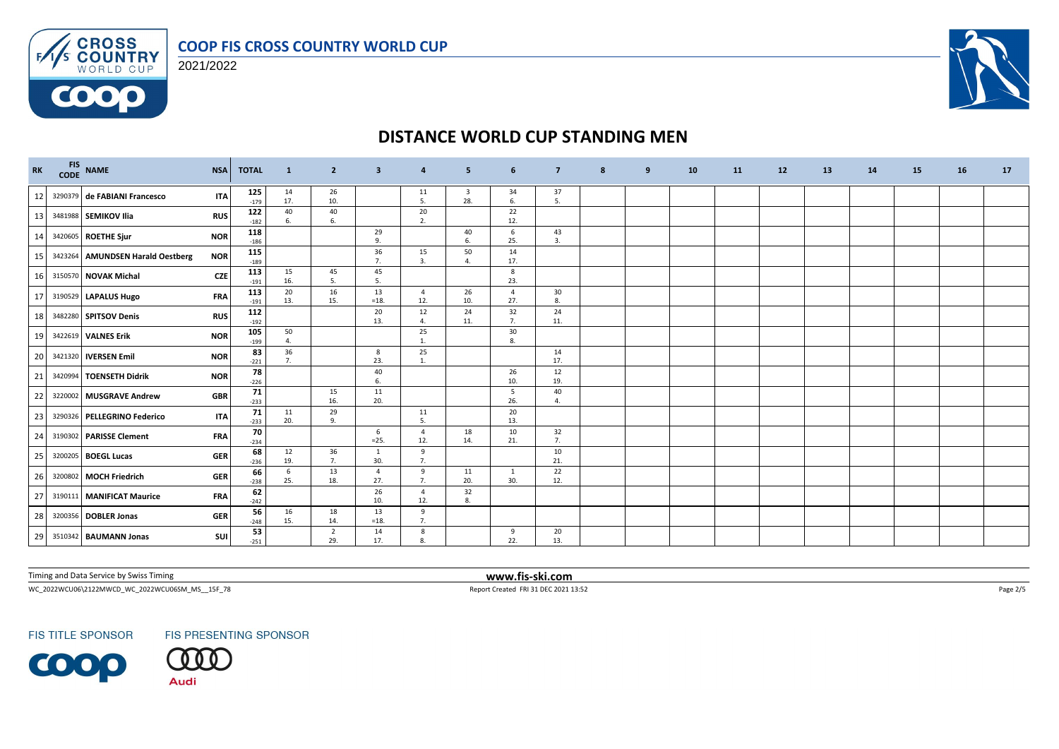

 $F/1/s$ 

**COOO** 



# **DISTANCE WORLD CUP STANDING MEN**

| RK              | CODE | FIS NAME                         | <b>NSA</b> | <b>TOTAL</b>  | <sup>1</sup> | $\mathbf{2}$          | 3                   | -4                    | 5                              | 6                     | 7         | 8 | 9 | 10 | <b>11</b> | 12 | 13 | 14 | 15 | 16 | 17 |
|-----------------|------|----------------------------------|------------|---------------|--------------|-----------------------|---------------------|-----------------------|--------------------------------|-----------------------|-----------|---|---|----|-----------|----|----|----|----|----|----|
| 12              |      | 3290379 de FABIANI Francesco     | <b>ITA</b> | 125<br>$-179$ | 14<br>17.    | 26<br>10.             |                     | 11<br>5.              | $\overline{\mathbf{3}}$<br>28. | 34<br>6.              | 37<br>5.  |   |   |    |           |    |    |    |    |    |    |
| 13              |      | 3481988 SEMIKOV Ilia             | <b>RUS</b> | 122<br>$-182$ | 40<br>6.     | 40<br>6.              |                     | 20<br>2.              |                                | 22<br>12.             |           |   |   |    |           |    |    |    |    |    |    |
| 14              |      | 3420605 ROETHE Sjur              | <b>NOR</b> | 118<br>$-186$ |              |                       | 29<br>9.            |                       | 40<br>6.                       | 6<br>25.              | 43<br>3.  |   |   |    |           |    |    |    |    |    |    |
| 15              |      | 3423264 AMUNDSEN Harald Oestberg | <b>NOR</b> | 115<br>$-189$ |              |                       | 36<br>7.            | 15<br>3.              | 50<br>$\overline{4}$           | 14<br>17.             |           |   |   |    |           |    |    |    |    |    |    |
| 16              |      | 3150570 NOVAK Michal             | <b>CZE</b> | 113<br>$-191$ | 15<br>16.    | 45<br>-5.             | 45<br>5.            |                       |                                | 8<br>23.              |           |   |   |    |           |    |    |    |    |    |    |
| 17 <sup>1</sup> |      | 3190529 LAPALUS Hugo             | <b>FRA</b> | 113<br>$-191$ | 20<br>13.    | 16<br>15.             | 13<br>$=18.$        | $\overline{4}$<br>12. | 26<br>10.                      | $\overline{4}$<br>27. | 30<br>8.  |   |   |    |           |    |    |    |    |    |    |
| 18              |      | 3482280 SPITSOV Denis            | <b>RUS</b> | 112<br>$-192$ |              |                       | 20<br>13.           | 12<br>$\mathbf{4}$    | 24<br>11.                      | 32<br>7.              | 24<br>11. |   |   |    |           |    |    |    |    |    |    |
| 19              |      | 3422619 VALNES Erik              | <b>NOR</b> | 105<br>$-199$ | 50<br>4.     |                       |                     | 25<br>$\mathbf{1}$    |                                | 30<br>8.              |           |   |   |    |           |    |    |    |    |    |    |
| 20              |      | 3421320 <b>IVERSEN Emil</b>      | <b>NOR</b> | 83<br>$-221$  | 36<br>7.     |                       | 8<br>23.            | 25<br>1.              |                                |                       | 14<br>17. |   |   |    |           |    |    |    |    |    |    |
| 21              |      | 3420994 TOENSETH Didrik          | <b>NOR</b> | 78<br>$-226$  |              |                       | 40<br>6.            |                       |                                | 26<br>10.             | 12<br>19. |   |   |    |           |    |    |    |    |    |    |
| 22              |      | 3220002 MUSGRAVE Andrew          | <b>GBR</b> | 71<br>$-233$  |              | 15<br>16.             | 11<br>20.           |                       |                                | 5<br>26.              | 40<br>4.  |   |   |    |           |    |    |    |    |    |    |
| 23              |      | 3290326 PELLEGRINO Federico      | <b>ITA</b> | 71<br>$-233$  | 11<br>20.    | 29<br>9.              |                     | 11<br>5.              |                                | 20<br>13.             |           |   |   |    |           |    |    |    |    |    |    |
| 24              |      | 3190302 PARISSE Clement          | <b>FRA</b> | 70<br>$-234$  |              |                       | 6<br>$=25.$         | $\overline{4}$<br>12. | 18<br>14.                      | 10<br>21.             | 32<br>7.  |   |   |    |           |    |    |    |    |    |    |
| 25              |      | 3200205 BOEGL Lucas              | <b>GER</b> | 68<br>$-236$  | 12<br>19.    | 36<br>7.              | $\mathbf{1}$<br>30. | 9<br>7.               |                                |                       | 10<br>21. |   |   |    |           |    |    |    |    |    |    |
| 26              |      | 3200802 MOCH Friedrich           | <b>GER</b> | 66<br>$-238$  | 6<br>25.     | 13<br>18.             | 4<br>27.            | 9                     | 11<br>20.                      | 1<br>30.              | 22<br>12. |   |   |    |           |    |    |    |    |    |    |
| 27              |      | 3190111 MANIFICAT Maurice        | <b>FRA</b> | 62<br>$-242$  |              |                       | 26<br>10.           | $\overline{4}$<br>12. | 32<br>8.                       |                       |           |   |   |    |           |    |    |    |    |    |    |
| 28              |      | 3200356 DOBLER Jonas             | <b>GER</b> | 56<br>$-248$  | 16<br>15.    | 18<br>14.             | 13<br>$=18.$        | 9<br>7.               |                                |                       |           |   |   |    |           |    |    |    |    |    |    |
|                 |      | 29 3510342 BAUMANN Jonas         | SUI        | 53<br>$-251$  |              | $\overline{2}$<br>29. | 14<br>17.           | 8<br>8.               |                                | 9<br>22.              | 20<br>13. |   |   |    |           |    |    |    |    |    |    |

Timing and Data Service by Swiss Timing **www.fis-ski.com**

WC\_2022WCU06\2122MWCD\_WC\_2022WCU06SM\_MS\_\_15F\_78 Report Created FRI 31 DEC 2021 13:52 Page 2/5

**FIS TITLE SPONSOR** 



Audi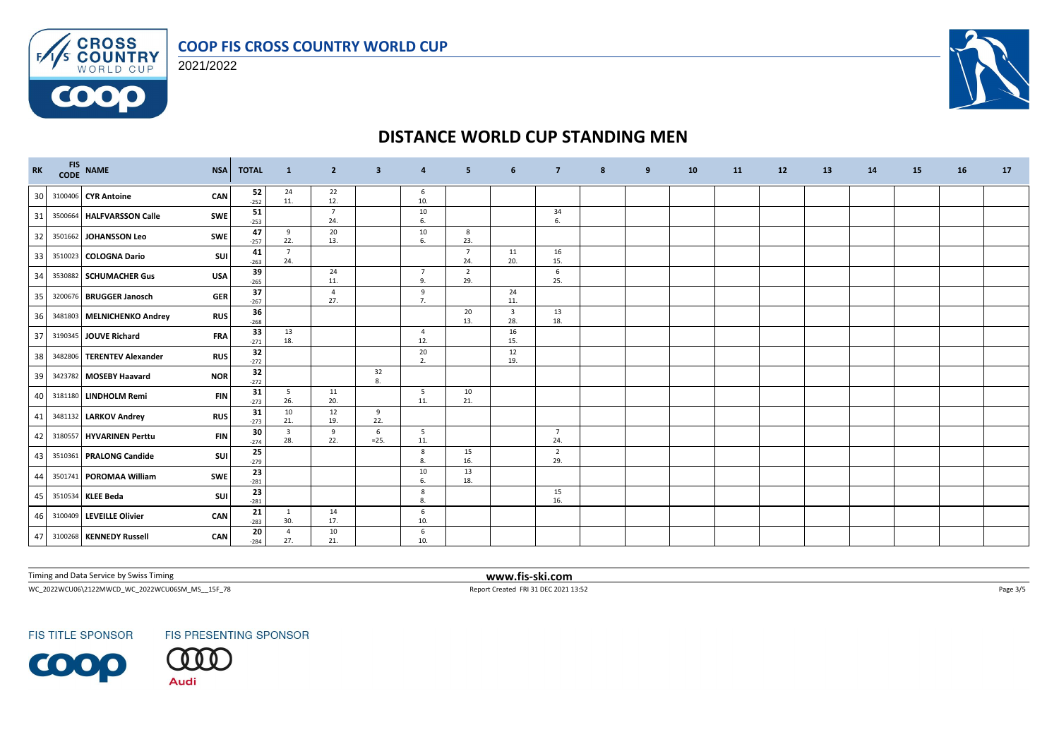



 $F/1/s$ 

**COOO** 



# **DISTANCE WORLD CUP STANDING MEN**

| $\mathbf{R}\mathbf{K}$ |         | FIS NAME<br>CODE NAME      | <b>NSA</b> | <b>TOTAL</b>         | <sup>1</sup>          | $\overline{2}$        | 3           | $\overline{a}$        | 5                     | 6                              | $\overline{7}$        | 8 | 9 | 10 | <b>11</b> | 12 | 13 | 14 | 15 | 16 | 17 |
|------------------------|---------|----------------------------|------------|----------------------|-----------------------|-----------------------|-------------|-----------------------|-----------------------|--------------------------------|-----------------------|---|---|----|-----------|----|----|----|----|----|----|
| 30                     |         | 3100406 CYR Antoine        | <b>CAN</b> | 52<br>$-252$         | 24<br>11.             | 22<br>12.             |             | - 6<br>10.            |                       |                                |                       |   |   |    |           |    |    |    |    |    |    |
| 31                     |         | 3500664 HALFVARSSON Calle  | <b>SWE</b> | 51<br>$-253$         |                       | $\overline{7}$<br>24. |             | 10<br>6.              |                       |                                | 34<br>6.              |   |   |    |           |    |    |    |    |    |    |
| 32                     |         | 3501662 JOHANSSON Leo      | <b>SWE</b> | 47<br>$-257$         | 9<br>22.              | 20<br>13.             |             | 10<br>6.              | 8<br>23.              |                                |                       |   |   |    |           |    |    |    |    |    |    |
| 33                     |         | 3510023 COLOGNA Dario      | SUI        | 41<br>$-263$         | $\overline{7}$<br>24. |                       |             |                       | $\overline{7}$<br>24. | 11<br>20.                      | 16<br>15.             |   |   |    |           |    |    |    |    |    |    |
| 34                     | 3530882 | <b>SCHUMACHER Gus</b>      | <b>USA</b> | 39<br>$-265$         |                       | 24<br>11.             |             | 7<br>9.               | $\overline{2}$<br>29. |                                | 6<br>25.              |   |   |    |           |    |    |    |    |    |    |
| 35                     |         | 3200676 BRUGGER Janosch    | <b>GER</b> | 37<br>$-267$         |                       | $\overline{a}$<br>27. |             | 9<br>$\overline{7}$   |                       | 24<br>11.                      |                       |   |   |    |           |    |    |    |    |    |    |
| 36                     |         | 3481803 MELNICHENKO Andrey | <b>RUS</b> | ${\bf 36}$<br>$-268$ |                       |                       |             |                       | 20<br>13.             | $\overline{\mathbf{3}}$<br>28. | 13<br>18.             |   |   |    |           |    |    |    |    |    |    |
| 37                     |         | 3190345 JOUVE Richard      | <b>FRA</b> | 33<br>$-271$         | 13<br>18.             |                       |             | $\overline{4}$<br>12. |                       | 16<br>15.                      |                       |   |   |    |           |    |    |    |    |    |    |
| 38                     |         | 3482806 TERENTEV Alexander | <b>RUS</b> | 32<br>$-272$         |                       |                       |             | 20<br>2.              |                       | 12<br>19.                      |                       |   |   |    |           |    |    |    |    |    |    |
| 39                     |         | 3423782 MOSEBY Haavard     | <b>NOR</b> | 32<br>$-272$         |                       |                       | 32<br>8.    |                       |                       |                                |                       |   |   |    |           |    |    |    |    |    |    |
| 40 <sub>1</sub>        |         | 3181180 LINDHOLM Remi      | <b>FIN</b> | 31<br>$-273$         | - 5<br>26.            | 11<br>20.             |             | 5<br>11.              | 10<br>21.             |                                |                       |   |   |    |           |    |    |    |    |    |    |
| 41                     |         | 3481132 LARKOV Andrey      | <b>RUS</b> | 31<br>$-273$         | 10<br>21.             | 12<br>19.             | 9<br>22.    |                       |                       |                                |                       |   |   |    |           |    |    |    |    |    |    |
| 42                     |         | 3180557 HYVARINEN Perttu   | <b>FIN</b> | 30<br>$-274$         | 3<br>28.              | 9<br>22.              | 6<br>$=25.$ | 5<br>11.              |                       |                                | $\overline{7}$<br>24. |   |   |    |           |    |    |    |    |    |    |
| 43                     |         | 3510361 PRALONG Candide    | SUI        | 25<br>$-279$         |                       |                       |             | 8                     | 15<br>16.             |                                | $\overline{2}$<br>29. |   |   |    |           |    |    |    |    |    |    |
| 44                     |         | 3501741 POROMAA William    | <b>SWE</b> | 23<br>$-281$         |                       |                       |             | 10<br>6.              | 13<br>18.             |                                |                       |   |   |    |           |    |    |    |    |    |    |
| 45                     |         | 3510534 KLEE Beda          | SUI        | 23<br>$-281$         |                       |                       |             | 8<br>8.               |                       |                                | 15<br>16.             |   |   |    |           |    |    |    |    |    |    |
| 46                     |         | 3100409 LEVEILLE Olivier   | CAN        | 21<br>$-283$         | 30.                   | 14<br>17.             |             | 6<br>10.              |                       |                                |                       |   |   |    |           |    |    |    |    |    |    |
|                        |         | 47 3100268 KENNEDY Russell | CAN        | 20<br>$-284$         | $\overline{a}$<br>27. | 10<br>21.             |             | 6<br>10.              |                       |                                |                       |   |   |    |           |    |    |    |    |    |    |

Timing and Data Service by Swiss Timing **www.fis-ski.com**

WC\_2022WCU06\2122MWCD\_WC\_2022WCU06SM\_MS\_\_15F\_78 Report Created FRI 31 DEC 2021 13:52 Page 3/5

**FIS TITLE SPONSOR** 



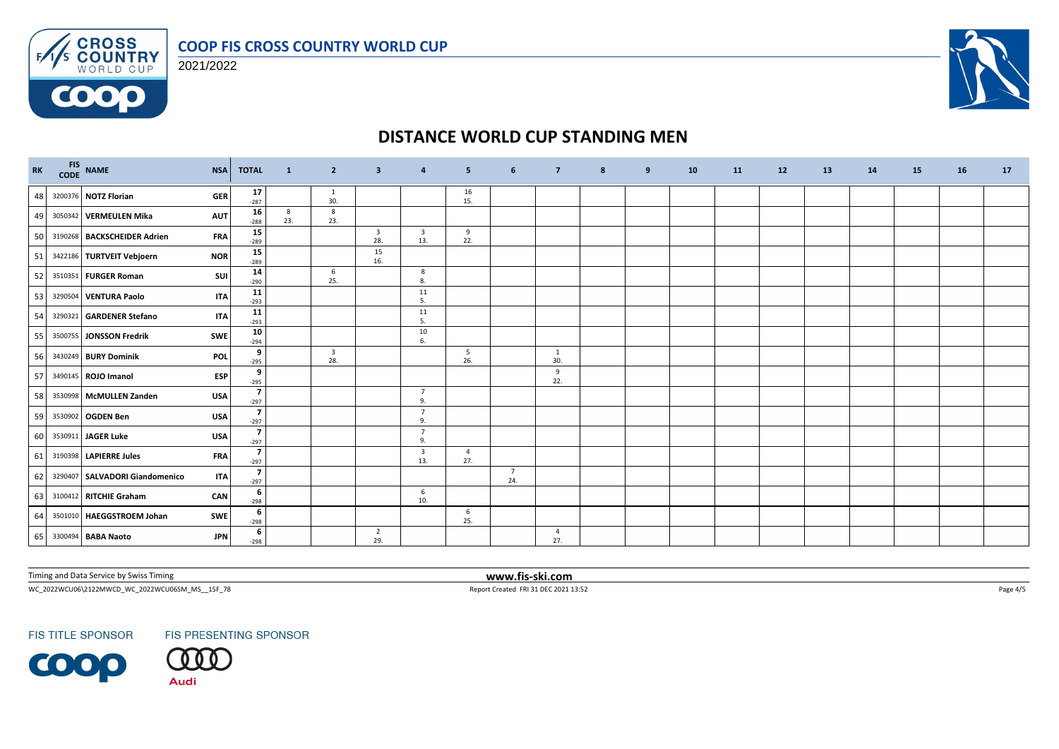

**CROSS**<br>**COUNTRY**<br>WORLD CUP 2021/2022

 $F/1/s$ 

**COOO** 



## **DISTANCE WORLD CUP STANDING MEN**

| <b>RK</b> | FIS NAME                         | <b>NSA</b> | <b>TOTAL</b>             | $\mathbf{1}$ | $\overline{2}$                 | 3                              | $\overline{a}$                 | - 5                   | 6                     | $\overline{7}$        | 8 | 9 | 10 | 11 | 12 | 13 | 14 | 15 | 16 | 17 |
|-----------|----------------------------------|------------|--------------------------|--------------|--------------------------------|--------------------------------|--------------------------------|-----------------------|-----------------------|-----------------------|---|---|----|----|----|----|----|----|----|----|
| 48        | 3200376 NOTZ Florian             | <b>GER</b> | 17<br>$-287$             |              | $\mathbf{1}$<br>30.            |                                |                                | 16<br>15.             |                       |                       |   |   |    |    |    |    |    |    |    |    |
| 49        | 3050342 VERMEULEN Mika           | <b>AUT</b> | 16<br>$-288$             | 8<br>23.     | 8<br>23.                       |                                |                                |                       |                       |                       |   |   |    |    |    |    |    |    |    |    |
| 50        | 3190268 BACKSCHEIDER Adrien      | <b>FRA</b> | 15<br>$-289$             |              |                                | $\overline{\mathbf{3}}$<br>28. | $\overline{\mathbf{3}}$<br>13. | 9<br>22.              |                       |                       |   |   |    |    |    |    |    |    |    |    |
| 51        | 3422186 TURTVEIT Vebjoern        | <b>NOR</b> | 15<br>$-289$             |              |                                | 15<br>16.                      |                                |                       |                       |                       |   |   |    |    |    |    |    |    |    |    |
| 52        | 3510351 FURGER Roman             | SUI        | 14<br>$-290$             |              | 6<br>25.                       |                                | 8<br>8.                        |                       |                       |                       |   |   |    |    |    |    |    |    |    |    |
| 53        | 3290504 VENTURA Paolo            | <b>ITA</b> | 11<br>$-293$             |              |                                |                                | 11<br>5.                       |                       |                       |                       |   |   |    |    |    |    |    |    |    |    |
| 54        | 3290321 GARDENER Stefano         | <b>ITA</b> | 11<br>$-293$             |              |                                |                                | 11<br>5.                       |                       |                       |                       |   |   |    |    |    |    |    |    |    |    |
| 55        | 3500755 JONSSON Fredrik          | <b>SWE</b> | 10<br>$-294$             |              |                                |                                | 10<br>6.                       |                       |                       |                       |   |   |    |    |    |    |    |    |    |    |
| 56        | 3430249 BURY Dominik             | <b>POL</b> | 9<br>$-295$              |              | $\overline{\mathbf{3}}$<br>28. |                                |                                | 5<br>26.              |                       | 1<br>30.              |   |   |    |    |    |    |    |    |    |    |
| 57        | 3490145 ROJO Imanol              | <b>ESP</b> | 9<br>$-295$              |              |                                |                                |                                |                       |                       | 9<br>22.              |   |   |    |    |    |    |    |    |    |    |
| 58        | 3530998 McMULLEN Zanden          | <b>USA</b> | $\overline{7}$<br>$-297$ |              |                                |                                | $\overline{7}$<br>9.           |                       |                       |                       |   |   |    |    |    |    |    |    |    |    |
| 59        | 3530902 OGDEN Ben                | <b>USA</b> | $\overline{z}$<br>$-297$ |              |                                |                                | 7<br>9.                        |                       |                       |                       |   |   |    |    |    |    |    |    |    |    |
| 60        | 3530911 JAGER Luke               | <b>USA</b> | $\overline{7}$<br>$-297$ |              |                                |                                | $\overline{7}$<br>9.           |                       |                       |                       |   |   |    |    |    |    |    |    |    |    |
| 61        | 3190398 LAPIERRE Jules           | <b>FRA</b> | $\overline{7}$<br>$-297$ |              |                                |                                | $\overline{\mathbf{3}}$<br>13. | $\overline{4}$<br>27. |                       |                       |   |   |    |    |    |    |    |    |    |    |
| 62        | 3290407   SALVADORI Giandomenico | <b>ITA</b> | $\overline{7}$<br>$-297$ |              |                                |                                |                                |                       | $\overline{7}$<br>24. |                       |   |   |    |    |    |    |    |    |    |    |
| 63        | 3100412 RITCHIE Graham           | CAN        | 6<br>$-298$              |              |                                |                                | 6<br>10.                       |                       |                       |                       |   |   |    |    |    |    |    |    |    |    |
| 64        | 3501010 HAEGGSTROEM Johan        | <b>SWE</b> | 6<br>$-298$              |              |                                |                                |                                | 6<br>25.              |                       |                       |   |   |    |    |    |    |    |    |    |    |
| 65        | 3300494 BABA Naoto               | <b>JPN</b> | 6<br>$-298$              |              |                                | $\overline{2}$<br>29.          |                                |                       |                       | $\overline{4}$<br>27. |   |   |    |    |    |    |    |    |    |    |

Timing and Data Service by Swiss Timing **www.fis-ski.com**

WC\_2022WCU06\2122MWCD\_WC\_2022WCU06SM\_MS\_\_15F\_78 Report Created FRI 31 DEC 2021 13:52 Page 4/5

**FIS TITLE SPONSOR** 

**FIS PRESENTING SPONSOR**